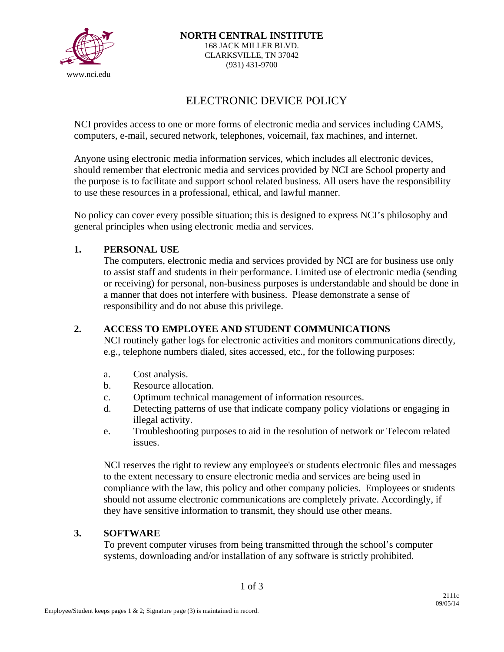

# ELECTRONIC DEVICE POLICY

NCI provides access to one or more forms of electronic media and services including CAMS, computers, e-mail, secured network, telephones, voicemail, fax machines, and internet.

Anyone using electronic media information services, which includes all electronic devices, should remember that electronic media and services provided by NCI are School property and the purpose is to facilitate and support school related business. All users have the responsibility to use these resources in a professional, ethical, and lawful manner.

No policy can cover every possible situation; this is designed to express NCI's philosophy and general principles when using electronic media and services.

## **1. PERSONAL USE**

The computers, electronic media and services provided by NCI are for business use only to assist staff and students in their performance. Limited use of electronic media (sending or receiving) for personal, non-business purposes is understandable and should be done in a manner that does not interfere with business. Please demonstrate a sense of responsibility and do not abuse this privilege.

## **2. ACCESS TO EMPLOYEE AND STUDENT COMMUNICATIONS**

NCI routinely gather logs for electronic activities and monitors communications directly, e.g., telephone numbers dialed, sites accessed, etc., for the following purposes:

- a. Cost analysis.
- b. Resource allocation.
- c. Optimum technical management of information resources.
- d. Detecting patterns of use that indicate company policy violations or engaging in illegal activity.
- e. Troubleshooting purposes to aid in the resolution of network or Telecom related issues.

NCI reserves the right to review any employee's or students electronic files and messages to the extent necessary to ensure electronic media and services are being used in compliance with the law, this policy and other company policies. Employees or students should not assume electronic communications are completely private. Accordingly, if they have sensitive information to transmit, they should use other means.

## **3. SOFTWARE**

To prevent computer viruses from being transmitted through the school's computer systems, downloading and/or installation of any software is strictly prohibited.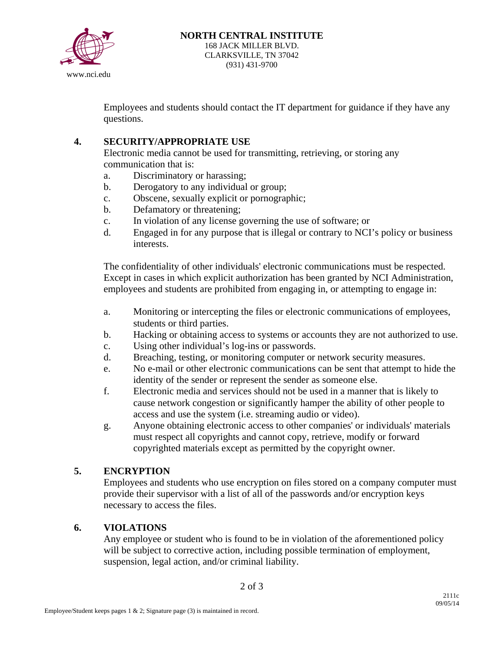

Employees and students should contact the IT department for guidance if they have any questions.

## **4. SECURITY/APPROPRIATE USE**

Electronic media cannot be used for transmitting, retrieving, or storing any communication that is:

- a. Discriminatory or harassing;
- b. Derogatory to any individual or group;
- c. Obscene, sexually explicit or pornographic;
- b. Defamatory or threatening;
- c. In violation of any license governing the use of software; or
- d. Engaged in for any purpose that is illegal or contrary to NCI's policy or business interests.

The confidentiality of other individuals' electronic communications must be respected. Except in cases in which explicit authorization has been granted by NCI Administration, employees and students are prohibited from engaging in, or attempting to engage in:

- a. Monitoring or intercepting the files or electronic communications of employees, students or third parties.
- b. Hacking or obtaining access to systems or accounts they are not authorized to use.
- c. Using other individual's log-ins or passwords.
- d. Breaching, testing, or monitoring computer or network security measures.
- e. No e-mail or other electronic communications can be sent that attempt to hide the identity of the sender or represent the sender as someone else.
- f. Electronic media and services should not be used in a manner that is likely to cause network congestion or significantly hamper the ability of other people to access and use the system (i.e. streaming audio or video).
- g. Anyone obtaining electronic access to other companies' or individuals' materials must respect all copyrights and cannot copy, retrieve, modify or forward copyrighted materials except as permitted by the copyright owner.

## **5. ENCRYPTION**

Employees and students who use encryption on files stored on a company computer must provide their supervisor with a list of all of the passwords and/or encryption keys necessary to access the files.

## **6. VIOLATIONS**

Any employee or student who is found to be in violation of the aforementioned policy will be subject to corrective action, including possible termination of employment, suspension, legal action, and/or criminal liability.